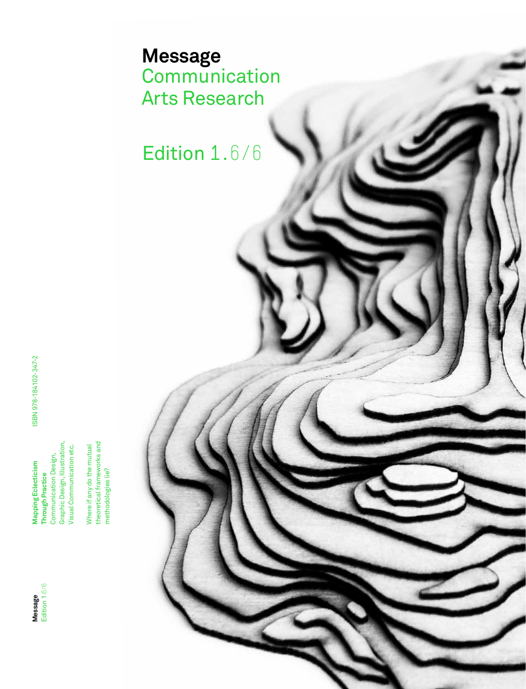

ISBN 978-184102-347-2 ISBN 978-184102-347-2 Graphic Design, Illustration,<br>Visual Communication etc. Communication Design, Communication Design, **Mapping Eclecticism Mapping Eclecticism Through Practice Through Practice** 

Graphic Design, Illustration, Visual Communication etc. Where if any do the mutual<br>theoretical frameworks and theoretical frameworks and Where if any do the mutual methodologies lie? methodologies lie?

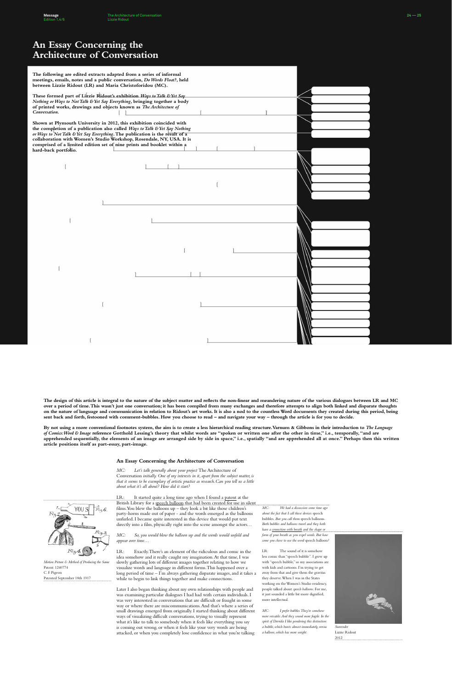| The following are edited extracts adapted from a series of informal<br>meetings, emails, notes and a public conversation, Do Words Float?, held<br>between Lizzie Ridout (LR) and Maria Christoforidou (MC).                                                                                                                                                                                                  |  |
|---------------------------------------------------------------------------------------------------------------------------------------------------------------------------------------------------------------------------------------------------------------------------------------------------------------------------------------------------------------------------------------------------------------|--|
| These formed part of Lizzie Ridout's exhibition Ways to Talk & Yet Say<br>Nothing or Ways to Not Talk & Yet Say Everything, bringing together a body<br>of printed works, drawings and objects known as The Architecture of<br>Conversation.                                                                                                                                                                  |  |
| Shown at Plymouth University in 2012, this exhibition coincided with<br>the completion of a publication also called Ways to Talk & Yet Say Nothing<br>or Ways to Not Talk & Yet Say Everything. The publication is the result of a<br>collaboration with Women's Studio Workshop, Rosendale, NY, USA. It is<br>comprised of a limited edition set of nine prints and booklet within a<br>hard-back portfolio. |  |
|                                                                                                                                                                                                                                                                                                                                                                                                               |  |
|                                                                                                                                                                                                                                                                                                                                                                                                               |  |
|                                                                                                                                                                                                                                                                                                                                                                                                               |  |
|                                                                                                                                                                                                                                                                                                                                                                                                               |  |
|                                                                                                                                                                                                                                                                                                                                                                                                               |  |
|                                                                                                                                                                                                                                                                                                                                                                                                               |  |
|                                                                                                                                                                                                                                                                                                                                                                                                               |  |
|                                                                                                                                                                                                                                                                                                                                                                                                               |  |

# **An Essay Concerning the Architecture of Conversation**



*Motion Picture & Method of Producing the Same* Patent: 1240774 C. F. Pigeon Patented September 18th 1917

*MC: We had a discussion some time ago about the fact that I call these devices* speech bubbles*. But you call them* speech balloons*. Both bubbles and balloons travel and they both have a connection with breath and the shape or form of your breath as you expel words. But how come you chose to use the word* speech balloon*?*

LR: The sound of it is somehow less comic than "speech bubble". I grew up with "speech bubble," so my associations are with kids and cartoons. I'm trying to get away from that and give them the gravitas they deserve. When I was in the States working on the Women's Studio residency, people talked about *speech balloons*. For me, it just sounded a little bit more dignified, more intellectual.

*MC: I prefer bubbles. They're somehow more versatile. And they sound more fragile. In the spirit of Derrida I like pondering this distinction: a bubble, which bursts almost immediately, versus a balloon, which has more weight.*



*Surrender*  Lizzie Ridout 2012

*MC: Let's talk generally about your project* The Architecture of Conversation *initially. One of my interests in it, apart from the subject matter, is that it seems to be exemplary of artistic practice as research.Can you tell us a little about what it's all about? How did it start?*

LR: It started quite a long time ago when I found a patent at the British Library for a speech balloon that had been created for use in silent films. You blew the balloons up – they look a bit like those children's party-horns made out of paper - and the words emerged as the balloons unfurled. I became quite interested in this device that would put text directly into a film, physically right into the scene amongst the actors…

*MC: So, you would blow the balloon up and the words would unfold and appear over time…*

LR: Exactly. There's an element of the ridiculous and comic in the idea somehow and it really caught my imagination. At that time, I was slowly gathering lots of different images together relating to how we visualize words and language in different forms. This happened over a long period of time – I'm always gathering disparate images, and it takes a while to begin to link things together and make connections.

Later I also began thinking about my own relationships with people and was examining particular dialogues I had had with certain individuals. I was very interested in conversations that are difficult or fraught in some way or where there are miscommunications. And that's where a series of small drawings emerged from originally. I started thinking about different ways of visualizing difficult conversations, trying to visually represent what it's like to talk to somebody when it feels like everything you say is coming out wrong, or when it feels like your very words are being attacked, or when you completely lose confidence in what you're talking

**The design of this article is integral to the nature of the subject matter and reflects the non-linear and meandering nature of the various dialogues between LR and MC over a period of time. This wasn't just one conversation; it has been compiled from many exchanges and therefore attempts to align both linked and disparate thoughts on the nature of language and communication in relation to Ridout's art works. It is also a nod to the countless Word documents they created during this period, being sent back and forth, festooned with comment-bubbles. How you choose to read – and navigate your way – through the article is for you to decide.** 

**By not using a more conventional footnotes system, the aim is to create a less hierarchical reading structure. Varnum & Gibbons in their introduction to** *The Language of Comics: Word & Image* **reference Gotthold Lessing's theory that whilst words are "spoken or written one after the other in time," i.e., temporally, "and are apprehended sequentially, the elements of an image are arranged side by side in space," i.e., spatially "and are apprehended all at once." Perhaps then this written** 

**article positions itself as part-essay, part-image.** 

### **An Essay Concerning the Architecture of Conversation**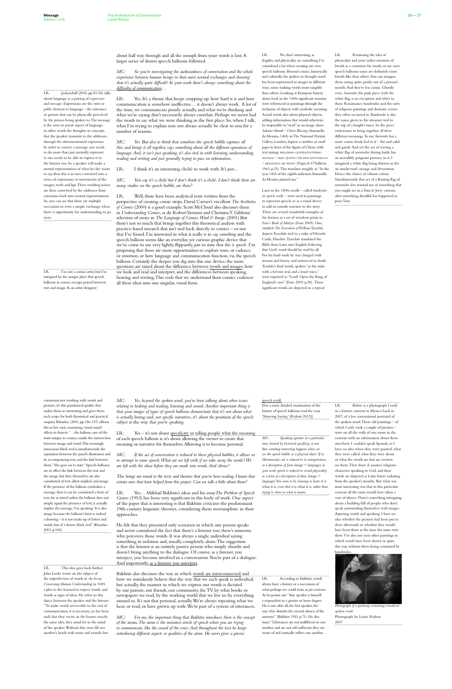### LR: Yes, that's interesting, as fragility and physicality are something I've considered a lot when creating my own speech balloons. Beyond comics, historically and culturally the spoken or thought word has been represented in images in different ways, some making words more tangible than others. Looking at European history alone, back in the 1400s significant maxims were referenced in paintings through the inclusion of objects with symbolic meaning. Actual words also adorn physical objects, adding information that would otherwise be impossible to "read" in an image alone. *Salvator Mundi / Christ Blessing* (Antonello da Messina, 1465) in The National Portrait Gallery, London, depicts a *cartellino* or *small paper* in front of the figure of Christ, with text stating: MILLESIMO QUATRICENTESIMO SEXTAGE / SIMO QUINTO VIII INDI ANTONELLUS / MESSANEUS ME PINXIT *(*Vigni & O'Sullivan 1963, p.23). This translates roughly as: "In the year 1465 of the eighth indiction Antonello da Messina painted me."

Later in the 1500s scrolls – called *banderoles* or *speech scrolls* – were used in paintings to represent speech or as a visual device to add an outside narrator to the story. There are several wonderful examples of the former, as a set of woodcut prints in *Foxe's Book of Martyrs* (Foxe 2009). One, entitled *The Execution of William Tynedale*, depicts Tynedale tied to a stake at Vilvorde Castle, Flanders. Tynedale translated the Bible from Latin into English, believing that God's word should be read by all. For his hard work he was charged with treason and heresy and sentenced to death. Tyndale's final words, spoken "at the stake with a fervent zeal, and a loud voice," were reported as: "Lord! Open the King of England's eyes" (Foxe 2009, p.20). These significant words are depicted in a typical

LR: Jackendoff (2005, pp.53-55) talks about language as a pairing of *expressions* and *messages*. Expressions are the *outer* or *public* element to language - the utterance or gesture that can be physically perceived by the person being spoken to. The message is the *inner* or *private* aspect of language, in other words the thoughts or concepts that the speaker transmits to the addressee, through the aforementioned expression. In order to convey a message, one needs to do more than just mentally represent it, one needs to be able to express it to the listener too. So a speaker will make a mental representation of what he/she wants to say, then this is in turn converted into a series of expressions or movements of the tongue, teeth and lips. These resulting noises are then converted by the addressee from exressions back into mental representations. So, you can see that there are multiple occcasions in even a simple exchange when there is opportunity for understanding to go awry.

LR: Yes. It's a theme that keeps cropping up: how hard it is and how communication is somehow ineffective… it doesn't always work. A lot of the time, we communicate poorly actually, and what we're thinking and what we're saying don't necessarily always correlate. Perhaps we never had the words to say what we were thinking in the first place. So, when I talk, what I'm trying to explain may not always actually be clear to you for a number of reasons.

LR: I'm not a comics artist, but I'm intrigued by the unique place that speech balloons in comics occupy, poised between text and image. As an artist/designer/

LR: Returning the idea of physicality and your earlier mention of breath as a container for words, in my own speech balloons some are definitely more breath-like than others. You can imagine them easing quite gently out of a person's mouth. And they're less comic. Ghostly even. *Surrender*, the pink piece with the white flag, is an exception and refers to those Renaissance banderoles and the sorts of religious paintings and dramatic scenes they often occurred in. Banderole is also the name given to the streamer tied to the top of a knight's lance. So the piece endeavours to bring together all these different meanings. To me *Surrender* has a more comic-book feel to it – flat and solid and garish. And yet the act of waving a white flag of surrender during battle has an incredibly poignant potency to it. I imagined a white flag being thrown in the air amidst total carnage and devastation. Hence the choice of vibrant colour. Simultaneously that act of a floating flag of surrender *does* remind me of something that you might see in a Tom & Jerry cartoon after something dreadful has happened to poor Tom.

about half way through and all the oomph from your words is lost. A larger series of drawn speech balloons followed.

*MC: So you're investigating the awkwardness of conversation and the whole experience between human beings in their most normal exchanges and showing that it's actually quite difficult! In your work there's always something about the difficulty of communication…*

*MC: Yes. But also to think that somehow the speech bubble captures all this, and brings it all together, says something about all the different operations of language. And, it isn't just speaking, it's also tied in with listening, understanding, reading and writing and just generally trying to pass on information.*

LR: I think it's an interesting cliché to work with. It's just...

*MC: You say it's a cliché but I don't think it's a cliché. I don't think there are many studies on the speech bubble, are there?*

LR: Yes – it's not about specificity or telling people what the meaning of each speech balloon is, it's about allowing the viewer to create that

LR: Well, there have been analytical texts written from the perspective of creating comic strips, David Carrier's excellent *The Aesthetics of Comics* (2000) is a good example. Scott McCloud also discusses them in *Understanding Comics*, as do Robert Varnum and Christina T. Gibbons' selection of essays in *The Language of Comics:Word & Image*. (2001) But there's not so much that brings together this theoretical analysis with practice-based research that isn't tied back directly to comics – or not that I've found. I'm interested in what it really is to *say something* and the speech balloon seems like an everyday, yet curious graphic device that we've come to use very lightly, flippantly, just to state that *this is speech.* I'm proposing that there are more opportunities to explore tone, or cadence or emotion, or how language and communication function, via the speech balloon. Certainly the deeper you dig into this one device, the more questions are raised about the difference between words and images, how we look and read and interpret, and the differences between speaking, hearing and writing. This code that we understand from comics coalesces all these ideas into one singular, visual form.

communicator working with words and pictures, it's this paradoxical quality that makes them so interesting and gives them such scope for both theoretical and practical enquiry. Khordoc (2001, pp.156-157) affirms this in her essay examining visual sound effects in Asterix: "…the balloon, one of the traits unique to comics, marks the intersection between image and word. This seemingly innocuous black oval is simultaneously the separation between the panel's illustration and its accompanying text, and the link between them." She goes on to state: "Speech balloons are in effect the link between the text and the image, but they themselves are also constituted of text, albeit implied, and image. If the presence of the balloon symbolises a message, then it can be considered a form of text, for as stated earlier, the balloon does not simply signal the presence of text, it actually implies the message, 'I'm speaking.' It is also image because the balloon's form is indeed a drawing – it is not made up of letters and words, but of a drawn, black oval" (Khordoc 2001, p.160).

LR: This idea goes back further. John Locke wrote on the subject of the imperfection of words in *An Essay Concerning Human Understanding* in 1689, a plea to the learned to respect words, and words as signs of ideas. He refers to this dance between the speaker and the listener: "To make words serviceable to the end of communication, it is necessary, (as has been said) that they excite, in the hearer, exactly the same idea, they stand for in the mind of the speaker. Without this, men fill one another's heads with noise and sounds; but

speech scroll.

[For a more detailed examination of the history of speech balloons read the essay 'Showing Saying.' (Ridout 2012)]

*MC: Speaking operates in a particular time, limited by historical specificity, or not. But somethig interesting happens when we see the speech bubble as a physical object. If in Hermeneutics art is reduced to its interpretation, or a description of form (image < language), in your work speech is reduced to visual physicality or a form of a description of ideas (image > language). You seem to be showing us* how it is what it is, *even that it* is what it is*, rather than trying to show us what it means.*

LR: According to Bakhtin, words always have a history, or a succession of what perhaps we could term as *pre-existences*. As he points out: "Any speaker is himself a respondent to a greater or lesser degree. He is not, after all, the first speaker, the one who disturbs the eternal silence of the universe" (Bakhtin 1953, p.71). He also states: "Utterances are not indifferent to one another, and are not self-sufficient; they are aware of and mutually reflect one another… LR: Below is a photograph I took in a former convent in Mexico back in 2007, of a less conventional portrayal of the spoken word. These old paintings – of which I only took a couple of pictures – were on all the walls of one room in the convent with no information about them anywhere. I couldn't speak Spanish, so I

have no idea when they were painted, what they were called, what they were about or what the words are that are written on them. They show (I assume) religious characters speaking to God, and their words are depicted as Latin letters radiating from the speaker's mouths. But what was most interesting was that in this particular convent all the nuns would have taken a vow of silence. There's something intriguing about a building full of people who don't speak surrounding themselves with images depicting words and speaking. I have no idea whether the pictures had been put in there afterwards or whether they would have been there at the time the nuns were there. I've also not seen other paintings in which words have been shown in quite this way, without them being contained by banderoles.



*Photograph of a painting containing visualised spoken words* Photograph by Lizzie Ridout 2007

*MC: Yes, beyond the spoken word, you've been talking about other issues relating to looking and reading, listening and sound. Another important thing is that your images of types of speech balloons demonstrate that it's not about what is actually* being said*, not specific narratives, it's about the* position *of the speech subject or* the way *that you're speaking.* 

meaning or narrative for themselves. Allowing it to become personal.

*MC: If the act of conversation is reduced to these physical bubbles, it allows us to attempt to tame speech. What are we left with if we take away the words? We are left with the ideas before they are made into words. And silence!*

*This brings me round to the texts and theories that you've been reading. I know that certain ones that have helped form this project. Can we talk a little about them?*

LR: Yes… Mikhail Bakhtin's ideas and his essay*The Problem of Speech Genres* (1953) has been very significant in this body of work. One aspect of the paper that is interesting is that Bakhtin criticizes the predominant 19th-century linguistic theories, considering them oversimplistic in their approaches.

He felt that they presented only scenarios in which one person speaks and never considered the fact that there's a listener too; there's someone who perceives those words. It was always a single, individual saying something in isolation and, usually, completely alone. The suggestion is that the listener is an entirely passive person who simply absorbs and doesn't bring anything to the dialogue. Of course, as a listener, you interject, you become involved in a conversation. You're part of a dialogue. And importantly, as a listener you interpret.

Bakhtin also discusses the way in which words are interconnected and how we mistakenly believe that the way that we each speak is individual, but actually, the manner in which we express our words is dictated by our parents, our friends, our community, the TV, by what books or newspapers we read, by the working world that we live in: by everything around us. It's not that personal, actually. We're always repeating what we hear, or read, or have grown up with. We're part of a system of utterances.

*MC: For me, the important thing that Bakhtin introduces there is the concept of the* atom*. The atom is the minutest article of speech when you are trying to communicate, like the sound of the voice. And throughout the text he keeps introducing different aspects or qualities of the atom. He never gives a precise*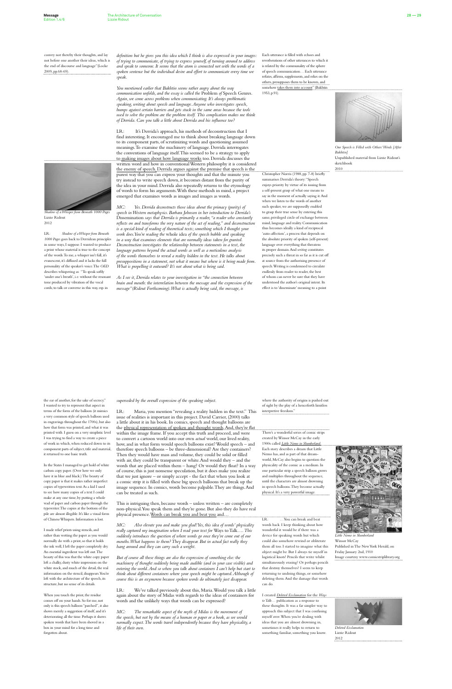convey not thereby their thoughts, and lay not before one another their ideas, which is the end of discourse and language"(Locke 2009, pp.68-69).

*Shadow of a Whisper from Beneath 1000 Pages*

Lizzie Ridout 2012

LR: *Shadow of a Whisper from Beneath 1000 Pages* goes back to Derridean principles in some ways, I suppose. I wanted to produce a print whose material is true to the concept of the words. To me, a whisper isn't full, it's evanescent, it's diffused and it lacks the full personality of the speaker's voice. The *OED* describes whispering as: "To speak softly 'under one's breath', i.e. without the resonant tone produced by vibration of the vocal cords; to talk or converse in this way, esp. in

Each utterance is filled with echoes and reverberations of other utterances to which it is related by the communality of the sphere of speech communication… Each utterance refutes, affirms, supplements, and relies on the others, presupposes them to be known, and somehow takes them into account" (Bakhtin 1953, p.91).



Christopher Norris (1988, pp. 7-8) briefly summarises Derrida's theory: "Speech

enjoys priority by virtue of its issuing from a self-present grasp of what one means to say in the moment of actually saying it. And when we listen to the words of another such speaker, we are supposedly enabled to grasp their true sense by entering this same, privileged circle of exchange between mind, language and reality. Communication thus becomes ideally a kind of reciprocal 'auto-affection', a process that depends on the absolute priority of spoken (self-present) language over everything that threatens its proper domain. And *writing* constitutes precisely such a threat in so far as it is cut off at source from the authorising presence of speech. Writing is condemned to circulate endlessly from reader to reader, the best of whom can never be sure that they have understood the author's original intent. Its effect is to 'disseminate' meaning to a point

*Our Speech is Filled with Others' Words [After Bakhtin]* Unpublished material from Lizzie Ridout's sketchbook

2010

*definition but he gives you this idea which I think is also expressed in your images: of trying to communicate, of trying to express yourself, of turning around to address and speak to someone. It seems that the atom is connected not with the words of a spoken sentence but the individual desire and effort to communicate every time we speak.* 

*You mentioned earlier that Bakhtin seems rather angry about the way communication unfolds, and the essay is called the* Problem *of* Speech Genres. *Again, we come across problems when communicating. It's always problematic speaking, writing about speech and language. Anyone who investigates speech, bumps against certain barriers and gets stuck in the same areas because the tools used to solve the problem are the problem itself. This complication makes me think of Derrida. Can you talk a little about Derrida and his influence too?*

LR: It's Derrida's approach, his methods of deconstruction that I find interesting. It encouraged me to think about breaking language down to its component parts, of scrutinizing words and questioning assumed meanings. To examine the machinery of language. Derrida interrogates the conventions of language itself. This seemed to be a strategy to apply to making images about how language works too. Derrida discusses the written word and how in conventional Western philosophy it is considered the enemy of speech. Derrida argues against the premise that speech is the purest way that you can express your thoughts and that the minute you try instead to write speech down, it becomes distant from the purity of the idea in your mind. Derrida also repeatedly returns to the etymology of words to form his arguments. With these methods in mind, a project emerged that examines words as images and images as words.



**Deleted Exclamat** Lizzie Ridout 2012

*MC: Yes. Derrida deconstructs those ideas about the primacy (purity) of speech in Western metaphysics. Barbara Johnson in her introduction to Derrida's*  Dissemination *says that Derrida is primarily a reader, "a reader who constantly reflects on and transforms the very nature of the act of reading," and deconstruction is a special kind of reading of theoretical texts; something which I thought your work does. You're reading the* whole idea *of the speech bubble and speaking in a way that examines elements that are normally ideas taken for granted. Deconstruction investigates the relationship between statements in a text, the language patterns beyond the actual words as well as a meticulous analysis of the words themselves to reveal a reality hidden in the text. He talks about presuppositions in a statement, not what it means but where is it being made from. What is propelling it outward? It's not about what is being said.*

Maria, you mention "revealing a reality hidden in the text." This issue of realities is important in this project. David Carrier, (2000) talks a little about it in his book. In comics, speech and thought balloons are the physical representation of spoken and thought words. And, they're flat within the image frame. If you accept this truth and proceed, and were to convert a cartoon world into our own *actual* world, our lived reality, how, and in what form would speech balloons exist? Would speech – and therefore speech balloons – be three-dimensional? Are they containers? Then they would have mass and volume, they could be solid or filled with air, they could be transparent or white. And would they – and the words that are placed within them – hang? Or would they float? In a way of course, this is just nonsense speculation, but it does make you realize that we just ignore – or simply accept - the fact that when you look at a comic strip it is filled with these big speech balloons that break up the image sequence. In comics, words become palpable. They are things. And can be treated as such.

This is intriguing then, because words – unless written – are completely non-physical. You speak them and they're gone. But also they do have real physical presence. Words can break you and beat you and..

*As I see it, Derrida relates to your investigation in "the connection between* 

*brain and mouth: the interrelation between the message and the expression of the message"(Ridout Forthcoming). What is actually being said, the message, is* 

> where the authority of origins is pushed out of sight by the play of a henceforth limitless interpretive freedom."

We've talked previously about this, Maria. Would you talk a little again about the story of Midas with regards to the ideas of containers for words and the unlikely ways that words can be expressed?

There's a wonderful series of comic strips created by Winsor McCay in the early 1900s called *Little Nemo in S* Each story describes a dream that Little Nemo has, and as part of that dreamworld, McCay also begins to question the physicality of the comic as a medium. In one particular strip a speech balloon grows and multiplies throughout the sequence, until the characters are almost drowning in speech balloons. They become actually physical. It's a very powerful image.

LR: …You can break and beat words back. I keep thinking about how wonderful it would be if there was a device for speaking words but which could also somehow rewind or obliterate them all too. I started to imagine what this object might be. But I always tie myself in logistical knots! Pencils that write whilst simultaneously erasing? Or perhaps pencils that destroy themselves? I seem to keep returning to undoing things, or somehow deleting them. And the damage that words can do.

I created *Deleted Exclamation* for the *Ways* 

*to Talk…* publication as a response to these thoughts. It was a far simpler way to approach this subject that I was confusing myself over. When you're dealing with ideas that you are almost drowning in, sometimes it really helps to return to something familiar, something you know.

the ear of another, for the sake of secrecy." I wanted to try to represent that aspect in terms of the form of the balloon (it mimics a very common style of speech balloon used in engravings throughout the 1700s), but also how that form was printed, and what it was printed with. I guess on a very simplistic level I was trying to find a way to create a piece of work in which, when reduced down to its component parts of subject, title and material, it returned to one basic truth.

In the States I managed to get hold of white carbon copy paper. (Over here we only have it in blue and black.) The beauty of copy paper is that it makes rather imperfect copies of typewritten text. As a kid I used to see how many copies of a text I could make at any one time, by putting a whole wad of paper and carbon paper through the typewriter. The copies at the bottom of the pile are almost illegible. It's like a visual form of Chinese Whispers. Information is lost.

I made relief prints using stencils, and rather than wetting the paper as you would normally do with a print, so that it holds the ink well, I left the paper completely dry. An essential ingredient was left out. The beauty of this was that the white copy paper left a chalky, dusty white impression on the white stock, and much of the detail, the real information on the stencil, disappears. You're left with the architecture of the speech, its structure, but no sense of its details.

When you touch the print, the residue comes off on your hands. So for me, not only is this speech balloon "parched", it also shows merely a suggestion of itself, and it's deteriorating all the time. Perhaps it shows spoken words that have been shoved in a box in your mind for a long time and forgotten about.



*Little Nemo in Slumberland* Winsor McCay Published in The New York Herald, on Friday January 2nd, 1910 Image courtesy www.comicstriplibrary.org

*superseded by the overall expression of the speaking subject.* 

*MC: Also elevate you and make you glad! Yes, this idea of words' physicality really captured my imagination when I read your text for* Ways to Talk…. *This suddenly introduces the question of where words go once they've come out of our mouths. What happens to them? They disappear. But in actual fact really they hang around and they can carry such a weight.* 

*But of course all these things are also the expression of something else: the machinery of thought suddenly being made audible (and in your case visible) and entering the world. And so when you talk about containers I can't help but start to think about different containers where your speech might be captured. Although of course this is an oxymoron because spoken words do ultimately just disappear.* 

*MC: The remarkable aspect of the myth of Midas is the movement of the speech, but not by the means of a human or paper or a book, as we would normally expect. The words travel independently because they have physicality, a life of their own.*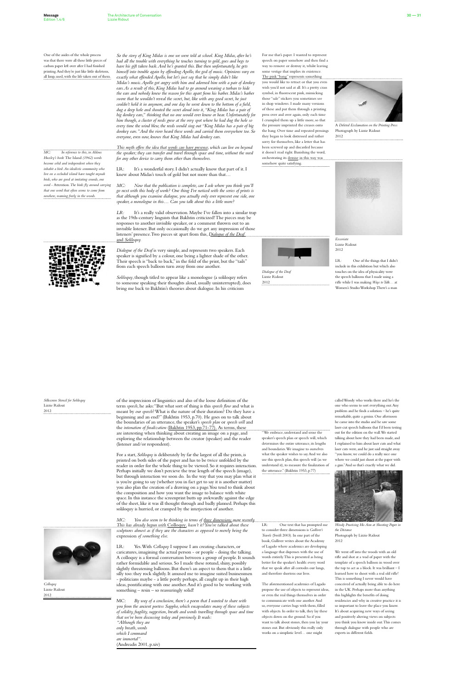One of the asides of the whole process was that there were all these little pieces of carbon paper left over after I had finished printing. And they're just like little skeletons, all limp, used, with the life taken out of them.

*MC: In reference to this, in Aldous Huxley's book* The Island *(1962) words become solid and independent when they inhabit a bird. An idealistic community who live on a secluded island have taught mynah birds, who are good at imitating sounds, one word -* Attention*. The birds fly around carrying that one word that often seems to come from nowhere, roaming freely in the woods.*

For me that's paper. I wanted to represent speech on paper somehow and then find a way to remove or destroy it, whilst leaving some vestige that implies its existence. The pink "bang" represents something you would like to retract or that you even wish you'd not said at all. It's a pretty crass symbol, in fluorescent pink, mimicking those "sale" stickers you sometimes see in shop windows. I made many versions of these and put them through a printing press over and over again, only each time I crumpled them up a little more, so that the pressure imprinted the creases onto the bang. Over time and repeated pressings they began to look distressed and rather sorry for themselves, like a letter that has been screwed up and discarded because it doesn't read right. Banishing the word, orchestrating its demise in this way was somehow quite satisfying.

*Dialogue of the Deaf* Lizzie Ridout 2012



A *Deleted Exclamation on the Printing Press* Photograph by Lizzie Ridout

2012



*Excoriate* Lizzie Ridout 2012

LR: It's a wonderful story. I didn't actually know that part of it. I knew about Midas's touch of gold but not more than that…

> LR: One of the things that I didn't include in this exhibition but which also touches on the idea of physicality were the speech balloons that I made using a rifle while I was making *Ways to Talk…* at Women's Studio Workshop. There's a man

*MC:* Now that the publication is complete, can I ask where you think you'll *go next with this body of work? One thing I've noticed with the series of prints is that although you examine dialogue, you actually only ever represent one side, one speaker, a monologue in this… Can you talk about this a little more?*

*LR*: It's a really valid observation. Maybe I've fallen into a similar trap as the 19th-century linguists that Bakhtin criticized! The pieces may be responses to another invisible speaker, or a comment thrown out to an invisible listener. But only occasionally do we get any impression of those listeners' presence. Two pieces sit apart from this, *Dialogue of the Deaf* and *Soliloquy.*



*So the story of King Midas is one we were told at school. King Midas, after he's had all the trouble with everything he touches turning to gold, goes and begs to have his gift taken back. And he's granted this. But then unfortunately, he gets himself into trouble again by offending Apollo, the god of music. Opinions vary on exactly what offended Apollo, but let's just say that he simply didn't like Midas's music. Apollo got angry with him and adorned him with a pair of donkey ears. As a result of this, King Midas had to go around wearing a turban to hide the ears and nobody knew the reason for this apart from his barber. Midas's barber swore that he wouldn't reveal the secret, but, like with any good secret, he just couldn't hold it in anymore, and one day he went down to the bottom of a field, dug a deep hole and shouted the secret aloud into it, "King Midas has a pair of big donkey ears," thinking that no one would ever know or hear. Unfortunately for him though, a cluster of reeds grew at the very spot where he had dug the hole so every time the wind blew, the reeds would sing out "King Midas has a pair of big donkey ears."And the river heard these words and carried them everywhere too. So everyone, even now, knows that King Midas had donkey ears.* 

*This myth offers the idea that words can have presence, which can live on beyond the speaker; they can transfer and travel through space and time, without the need for any other device to carry them other than themselves.*

*Dialogue of the Deaf* is very simple, and represents two speakers. Each speaker is signified by a colour, one being a lighter shade of the other. Their speech is "back to back," in the fold of the print, but the "tails" from each speech balloon turn away from one another.

*Soliloquy*, though titled to appear like a monologue (a soliloquy refers to someone speaking their thoughts aloud, usually uninterrupted), does bring me back to Bakhtin's theories about dialogue. In his criticism

*Silkscreen Stencil for Soliloquy* Lizzie Ridout 2012

*Colloquy* Lizzie Ridout 2012

called Woody who works there and he's the one who seems to sort everything out. Any problem and he finds a solution – he's quite remarkable, quite a genius. One afternoon he came into the studio and he saw some laser-cut speech balloons that I'd been testing out for the edition on the wall. We started talking about how they had been made, and

I explained to him about laser cuts and what laser cuts were, and he just said straight away "you know, we could do a really nice one where we could just shoot at the paper with a gun."And so that's exactly what we did.



*Woody Practising His Aim at Shooting Paper in the Distance* Photograph by Lizzie Ridout 2012

We went off into the woods with an old rifle and shot at a wad of paper with the template of a speech balloon in wood over the top to act as a block. It was brilliant – I learned how to shoot with a real old rifle! This is something I never would have conceived of actually being able to do here in the UK. Perhaps more than anything this highlights the benefits of doing residencies and why in creative practice it is so important to leave the place you know. It's about acquiring new ways of seeing and positively altering views on subjects you think you know inside out. This comes through dialogue with people who are experts in different fields.

of the imprecision of linguistics and also of the loose definition of the term *speech*, he asks: "But what sort of thing is this *speech flow* and what is meant by *our speech*? What is the nature of their duration? Do they have a beginning and an end?" (Bakhtin 1953, p.70). He goes on to talk about the boundaries of an utterance, the speaker's *speech plan* or *speech will* and the *intonation of finalization* (Bakhtin 1953, pp.71-77). As terms, these are interesting when thinking about creating an image on a page, and exploring the relationship between the creator (speaker) and the reader

(listener and/or respondent).

For a start, *Soliloquy* is deliberately by far the largest of all the prints, is printed on both sides of the paper and has to be twice unfolded by the reader in order for the whole thing to be viewed. So it requires interaction. Perhaps initially we don't percieve the true length of the speech (image), but through interaction we soon do. In the way that you may plan what it is you're going to say (whether you in fact get to say it is another matter) you also plan the creation of a drawing on a page. You tend to think about the composition and how you want the image to balance with white space. In this instance the screenprint butts up awkwardly against the edge of the sheet, like it was ill thought through and badly planned. Perhaps this soliloquy is hurried, or cramped by the interjection of another.

*MC: You also seem to be thinking in terms of three dimensions more recently. This has already begun with* Colloquy*, hasn't it? You've talked about these sculptures almost as if they* are *the characters as opposed to merely being the*  expression *of something else.*

LR: Yes. With *Colloquy* I suppose I am creating characters, or caricatures, imagining the actual person - or people - doing the talking. A colloquy is a formal conversation between a group of people. It sounds rather formidable and serious. So I made these rotund, shiny, possibly slightly threatening balloons. But there's an aspect to them that is a little silly too: they rock slightly. It amused me to imagine suited businessmen - politicians maybe - a little portly perhaps, all caught up in their high ideas, pontificating with one another. And it's good to be working with something – resin – so reassuringly solid!

MC: *By way of a conclusion, there's a poem that I wanted to share with you from the ancient poetess Sappho, which encapsulates many of these subjects of solidity, fragility, suggestion, breath and words travelling through space and time that we've been discussing today and previously. It reads:* 

*"Although they are*

- *only breath, words*
- *which I command are immortal".*

(Andreadis 2001, p.xiv)

"We embrace, understand and sense the speaker's speech plan or speech will, which determines the entire utterance, its lengths and boundaries. We imagine to ourselves what the speaker wishes to say. And we also use this speech plan, this speech will (as we understand it), to measure the finalization of the utterance." (Bakhtin 1953, p.77)

LR: One text that has prompted me to consider three dimensions is *Gulliver's Travels* (Swift 2003). In one part of the book, Gulliver writes about the Academy of Lagado where academics are developing a language that dispenses with the use of words entirely. This is presented as being better for the speaker's health: every word that we speak after all corrodes our lungs, and therefore shortens our lives.

The aforementioned academics of Lagado propose the use of objects to represent ideas, or even the real things themselves in order to communicate with one another. And so, everyone carries bags with them, filled with objects. In order to talk, they lay these objects down on the ground. So if you want to talk about stones, then you lay your stones out. But obviously this really only works on a simplistic level… one might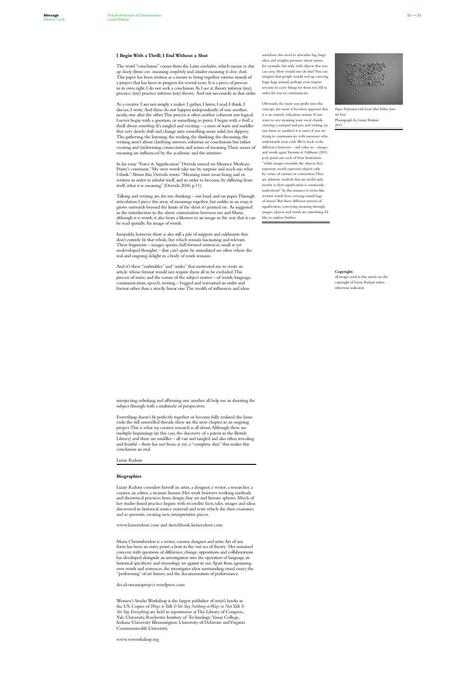somehow also need to articulate big, huge ideas and weighty premises about stones, for example, but only with objects that you can *carry*. How would one do that? You can imagine that people would end up carrying huge bags around, perhaps even require servants to carry things for them too. All in order for you to communicate.

Obviously, the more you probe into this concept, the more it becomes apparent that it is an entirely ridiculous notion. If you want to save straining your vocal chords, carrying a notepad and pen and writing (in one form or another) it is easier if you are trying to communicate with someone who understands your code. We're back at the difference between – and value in – images and words again. Varnum & Gibbons (2001, p.xi) point out each of their limitations: "while images resemble the objects they represent, words represent objects only by virtue of custom or convention. They are arbitrary symbols that are useful only insofar as their signification is commonly understood." In this instance it seems like written words beat carrying round bags of stones! But these different systems of signification, conveying meaning through images, objects and words are something I'd like to explore further.

*Paper Perforated with Lead Shot Pellets from 60 Feet* Photograph by Lizzie Ridout 2011

### **Copyright:**

all images used in this article are the copyright of Lizzie Ridout unless otherwise indicated.

### **I Begin With a Thrill; I End Without a Shut**

The word "conclusion" comes from the Latin *concludere*, which means *to shut up closely* (from *con*- meaning *completely* and *claudere* meaning *to close, shut*). This paper has been written as a means to bring together various strands of a project that has been in progress for several years. It is a piece of process in its own right. I do not seek a conclusion. As I see it, theory informs (my) practice; (my) practice informs (my) theory. And not necessarily in that order.

As a creative I am not simply a maker: I gather, I listen, I read, I think, I discuss, I write. And these do not happen independently of one another, neatly, one after the other. This process is often neither coherent nor logical. I never begin with a question, or something to prove. I begin with *a thrill*, a thrill about *something*. It's tangled and exciting – a mess of starts and middles that very slowly shift and change into something more solid, less slippery. The gathering, the listening, the reading, the thinking, the discussing, the writing aren't about clarifying answers, solutions or conclusions but rather creating and (in)forming connections and senses of meaning. These senses of meaning are influenced by the academic and the intuitive.

In his essay "Force & Signification" Derrida mused on Maurice Merleau-Ponty's comment, "My own words take me by surprise and teach me what I think." About this, Derrida wrote: "Meaning must await being said or written in order to inhabit itself, and in order to become, by differing from itself, what it is: meaning" (Derrida 2006, p.11).

Talking and writing are, for me, thinking – out loud, and on paper. Through articulation I piece this array of meanings together, but unlike in an essay, it grows outwards beyond the limits of the sheet it's printed on. As suggested in the introduction to the above conversation between me and Maria, although it is words, it also bears a likeness to an image in the way that it can be read spatially. An image of words.

Invariably, however, there is also still a pile of snippets and oddments that don't entirely fit that whole, but which remain fascinating and relevant. These fragments – images, quotes, half-formed sentences, small as yet undeveloped thoughts – that can't quite be assimilated are often where the real and ongoing delight in a body of work remains.

And it's these "unfittables" and "asides" that motivated me to write an article whose format would not require them all to be excluded.This process of mine, and the nature of the subject matter – of words, language, communication, speech, writing – begged and warranted an order and format other than a strictly linear one. The wealth of influences and ideas

interjecting, rebuking and affirming one another all help me in shooting the subject through with a multitude of perspectives.

Everything doesn't fit perfectly together or become fully realized: the loose ends, the still unravelled threads, these are the next chapter in an ongoing project. This is what *my* creative research is all about. Although there are multiple beginnings (in this case, the discovery of a patent in the British Library) and there are middles – all vast and tangled and also often revealing

and fruitful – there has not been, as yet, a "complete shut" that makes this conclusion an end.

Lizzie Ridout

### **Biographies**

Lizzie Ridout considers herself an artist, a designer, a writer, a researcher, a curator, an editor, a treasure hunter. Her work borrows working methods and theoretical practices from design, fine art and literary spheres. Much of her studio-based practice begins with recondite facts, tales, images and ideas discovered in historical source material and texts which she then examines and re-presents, creating new, interpretative pieces.

www.lizzieridout.com and sketchbook.lizzieridout.com

Maria Christoforidou is a writer, curator, designer and artist. Art of any form has been an entry point: a boat in the vast sea of theory. Her sustained concern with questions of difference, change, oppositions and collaborations has developed alongside an investigation into the operation of language, its historical specificity and etymology set against its use. Apart from agonizing over words and sentences, she investigates ideas surrounding visual essays, the "performing" of art history and the documentation of performance.

decalcomaniaproject.wordpress.com

Women's Studio Workshop is the largest publisher of artist's books in the US. Copies of *Ways to Talk & Yet Say Nothing or Ways to Not Talk & Yet Say Everything* are held in repositories at The Library of Congress, Yale University, Rochester Institute of Technology, Vassar College, Indiana University Bloomington, University of Delaware and Virginia Commonwealth University.

www.wsworkshop.org